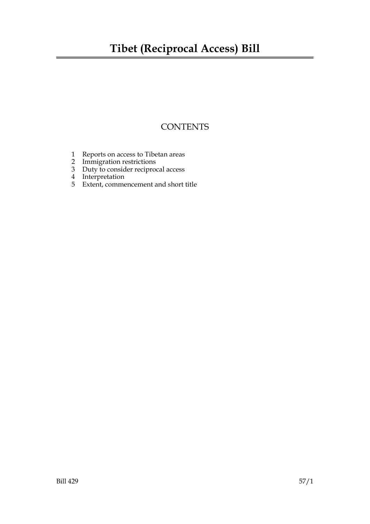### **Tibet (Reciprocal Access) Bill**

### **CONTENTS**

- 1 Reports on access to Tibetan areas
- 2 Immigration restrictions
- 3 Duty to consider reciprocal access
- 4 Interpretation
- 5 Extent, commencement and short title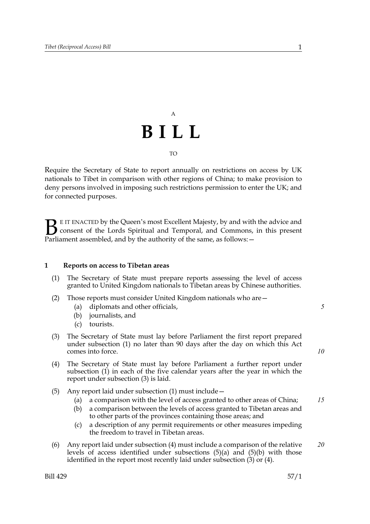## A **BILL**  $T<sub>O</sub>$

Require the Secretary of State to report annually on restrictions on access by UK nationals to Tibet in comparison with other regions of China; to make provision to deny persons involved in imposing such restrictions permission to enter the UK; and for connected purposes.

E IT ENACTED by the Queen's most Excellent Majesty, by and with the advice and consent of the Lords Spiritual and Temporal, and Commons, in this present **B** EIT ENACTED by the Queen's most Excellent Majesty, by and with consent of the Lords Spiritual and Temporal, and Commons, Parliament assembled, and by the authority of the same, as follows:  $-$ 

#### **1 Reports on access to Tibetan areas**

- (1) The Secretary of State must prepare reports assessing the level of access granted to United Kingdom nationals to Tibetan areas by Chinese authorities.
- (2) Those reports must consider United Kingdom nationals who are—
	- (a) diplomats and other officials,
	- (b) journalists, and
	- (c) tourists.
- (3) The Secretary of State must lay before Parliament the first report prepared under subsection (1) no later than 90 days after the day on which this Act comes into force.
- (4) The Secretary of State must lay before Parliament a further report under subsection (1) in each of the five calendar years after the year in which the report under subsection (3) is laid.
- (5) Any report laid under subsection (1) must include—
	- (a) a comparison with the level of access granted to other areas of China; *15*
	- (b) a comparison between the levels of access granted to Tibetan areas and to other parts of the provinces containing those areas; and
	- (c) a description of any permit requirements or other measures impeding the freedom to travel in Tibetan areas.
- (6) Any report laid under subsection (4) must include a comparison of the relative levels of access identified under subsections (5)(a) and (5)(b) with those identified in the report most recently laid under subsection (3) or (4). *20*

*5*

*10*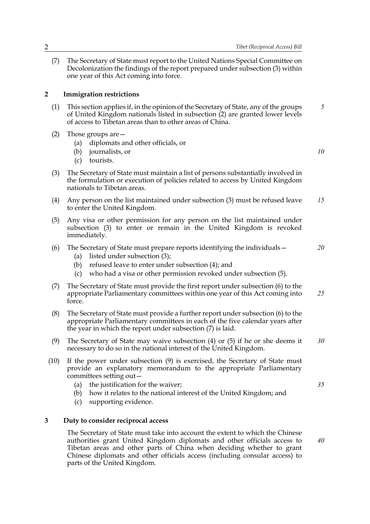(7) The Secretary of State must report to the United Nations Special Committee on Decolonization the findings of the report prepared under subsection (3) within one year of this Act coming into force.

#### **2 Immigration restrictions**

- (1) This section applies if, in the opinion of the Secretary of State, any of the groups of United Kingdom nationals listed in subsection (2) are granted lower levels of access to Tibetan areas than to other areas of China. *5*
- (2) Those groups are—
	- (a) diplomats and other officials, or
	- (b) journalists, or
	- (c) tourists.
- (3) The Secretary of State must maintain a list of persons substantially involved in the formulation or execution of policies related to access by United Kingdom nationals to Tibetan areas.
- (4) Any person on the list maintained under subsection (3) must be refused leave to enter the United Kingdom. *15*
- (5) Any visa or other permission for any person on the list maintained under subsection (3) to enter or remain in the United Kingdom is revoked immediately.
- (6) The Secretary of State must prepare reports identifying the individuals—
	- (a) listed under subsection (3);
	- (b) refused leave to enter under subsection (4); and
	- (c) who had a visa or other permission revoked under subsection (5).
- (7) The Secretary of State must provide the first report under subsection (6) to the appropriate Parliamentary committees within one year of this Act coming into force. *25*
- (8) The Secretary of State must provide a further report under subsection (6) to the appropriate Parliamentary committees in each of the five calendar years after the year in which the report under subsection (7) is laid.
- (9) The Secretary of State may waive subsection (4) or (5) if he or she deems it necessary to do so in the national interest of the United Kingdom. *30*
- (10) If the power under subsection (9) is exercised, the Secretary of State must provide an explanatory memorandum to the appropriate Parliamentary committees setting out—
	- (a) the justification for the waiver;
	- (b) how it relates to the national interest of the United Kingdom; and
	- (c) supporting evidence.

#### **3 Duty to consider reciprocal access**

The Secretary of State must take into account the extent to which the Chinese authorities grant United Kingdom diplomats and other officials access to Tibetan areas and other parts of China when deciding whether to grant Chinese diplomats and other officials access (including consular access) to parts of the United Kingdom.

*10*

*20*

*35*

*40*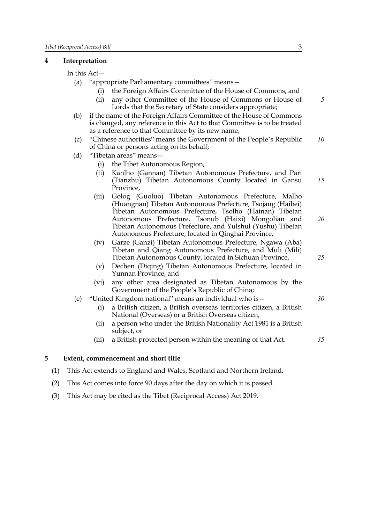#### **4 Interpretation**

In this Act—

- (a) "appropriate Parliamentary committees" means—
	- (i) the Foreign Affairs Committee of the House of Commons, and
	- (ii) any other Committee of the House of Commons or House of Lords that the Secretary of State considers appropriate;
- (b) if the name of the Foreign Affairs Committee of the House of Commons is changed, any reference in this Act to that Committee is to be treated as a reference to that Committee by its new name;
- (c) "Chinese authorities" means the Government of the People's Republic of China or persons acting on its behalf; *10*
- (d) "Tibetan areas" means—
	- (i) the Tibet Autonomous Region,
	- (ii) Kanlho (Gannan) Tibetan Autonomous Prefecture, and Pari (Tianzhu) Tibetan Autonomous County located in Gansu Province, *15*
	- (iii) Golog (Guoluo) Tibetan Autonomous Prefecture, Malho (Huangnan) Tibetan Autonomous Prefecture, Tsojang (Haibei) Tibetan Autonomous Prefecture, Tsolho (Hainan) Tibetan Autonomous Prefecture, Tsonub (Haixi) Mongolian and Tibetan Autonomous Prefecture, and Yulshul (Yushu) Tibetan Autonomous Prefecture, located in Qinghai Province,
	- (iv) Garze (Ganzi) Tibetan Autonomous Prefecture, Ngawa (Aba) Tibetan and Qiang Autonomous Prefecture, and Muli (Mili) Tibetan Autonomous County, located in Sichuan Province,
	- (v) Dechen (Diqing) Tibetan Autonomous Prefecture, located in Yunnan Province, and
	- (vi) any other area designated as Tibetan Autonomous by the Government of the People's Republic of China;
- (e) "United Kingdom national" means an individual who is—
	- (i) a British citizen, a British overseas territories citizen, a British National (Overseas) or a British Overseas citizen,
	- (ii) a person who under the British Nationality Act 1981 is a British subject, or
	- (iii) a British protected person within the meaning of that Act.

*35*

#### **5 Extent, commencement and short title**

- (1) This Act extends to England and Wales, Scotland and Northern Ireland.
- (2) This Act comes into force 90 days after the day on which it is passed.
- (3) This Act may be cited as the Tibet (Reciprocal Access) Act 2019.

*5*

*20*

*25*

*30*